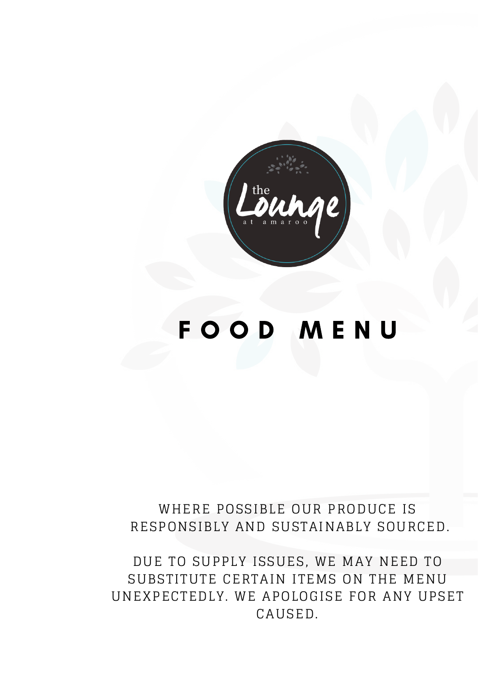

# F O O D M E N U

# WHERE POSSIBLE OUR PRODUCE IS RESPONSIBLY AND SUSTAINABLY SOURCED.

DUE TO SUPPLY ISSUES, WE MAY NEED TO SUBSTITUTE CERTAIN ITEMS ON THE MENU UNEXPECTEDLY. WE APOLOGISE FOR ANY UPSET CAUSED.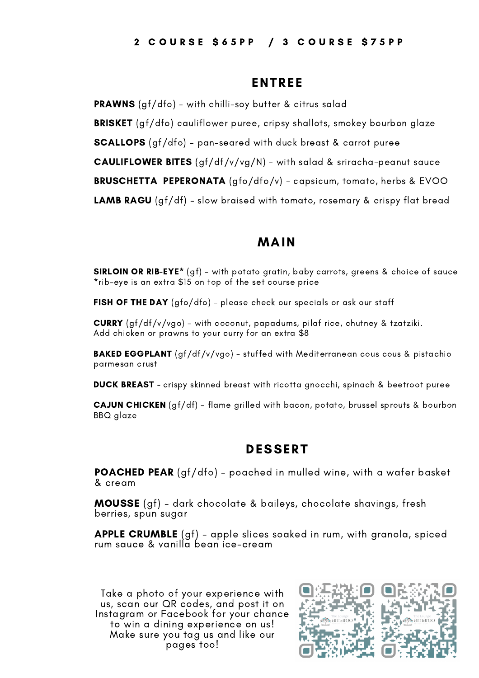#### ENTREE

**PRAWNS** (gf/dfo) - with chilli-soy butter & citrus salad BRISKET (gf/dfo) cauliflower puree, cripsy shallots, smokey bourbon glaze SCALLOPS (gf/dfo) - pan-seared with duck breast & carrot puree **CAULIFLOWER BITES** (gf/df/v/vg/N) - with salad & sriracha-peanut sauce BRUSCHETTA PEPERONATA (gfo/dfo/v) - capsicum, tomato, herbs & EVOO **LAMB RAGU** (gf/df) - slow braised with tomato, rosemary & crispy flat bread

## MAIN

SIRLOIN OR RIB-EYE\* (gf) - with potato gratin, baby carrots, greens & choice of sauce \*rib-eye is an extra \$15 on top of the set course price

FISH OF THE DAY (gfo/dfo) - please check our specials or ask our staff

CURRY (gf/df/v/vgo) - with coconut, papadums, pilaf rice, chutney & tzatziki. Add chicken or prawns to your curry for an extra \$8

**BAKED EGGPLANT** (gf/df/v/vgo) - stuffed with Mediterranean cous cous & pistachio parmesan crust

DUCK BREAST - crispy skinned breast with ricotta gnocchi, spinach & beetroot puree

CAJUN CHICKEN (gf/df) - flame grilled with bacon, potato, brussel sprouts & bourbon BBQ glaze

## DESSERT

POACHED PEAR (gf/dfo) - poached in mulled wine, with a wafer basket & cream

MOUSSE (gf) - dark chocolate & baileys, chocolate shavings, fresh berries, spun sugar

**APPLE CRUMBLE** (gf) - apple slices soaked in rum, with granola, spiced rum sauce & vanilla bean ice-cream

Take a photo of your experience with us, scan our QR codes, and post it on Instagram or Facebook for your chance to win a dining experience on us! Make sure you tag us and like our pages too!